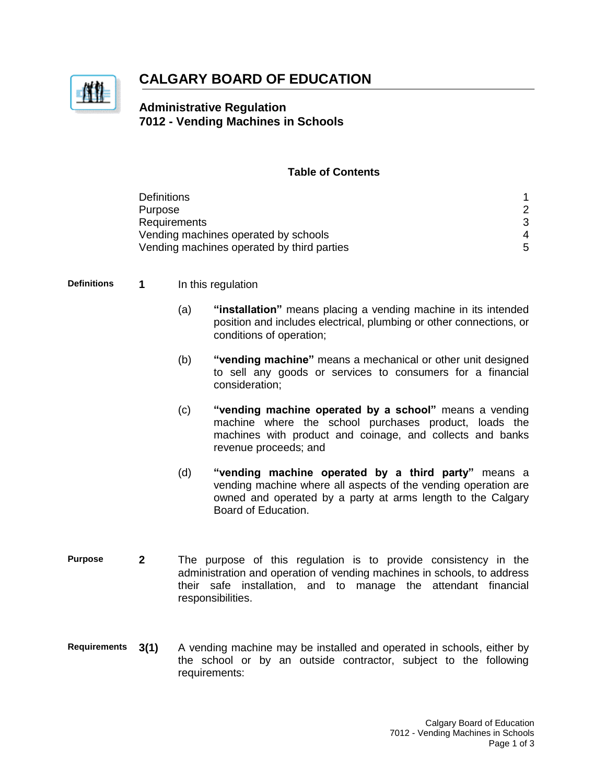

# **CALGARY BOARD OF EDUCATION**

## **Administrative Regulation 7012 - Vending Machines in Schools**

### **Table of Contents**

| <b>Definitions</b>                         |  |
|--------------------------------------------|--|
| Purpose                                    |  |
| Requirements                               |  |
| Vending machines operated by schools       |  |
| Vending machines operated by third parties |  |

- **Definitions 1** In this regulation
	- (a) **"installation"** means placing a vending machine in its intended position and includes electrical, plumbing or other connections, or conditions of operation;
	- (b) **"vending machine"** means a mechanical or other unit designed to sell any goods or services to consumers for a financial consideration;
	- (c) **"vending machine operated by a school"** means a vending machine where the school purchases product, loads the machines with product and coinage, and collects and banks revenue proceeds; and
	- (d) **"vending machine operated by a third party"** means a vending machine where all aspects of the vending operation are owned and operated by a party at arms length to the Calgary Board of Education.
- **Purpose 2** The purpose of this regulation is to provide consistency in the administration and operation of vending machines in schools, to address their safe installation, and to manage the attendant financial responsibilities.
- **Requirements 3(1)** A vending machine may be installed and operated in schools, either by the school or by an outside contractor, subject to the following requirements: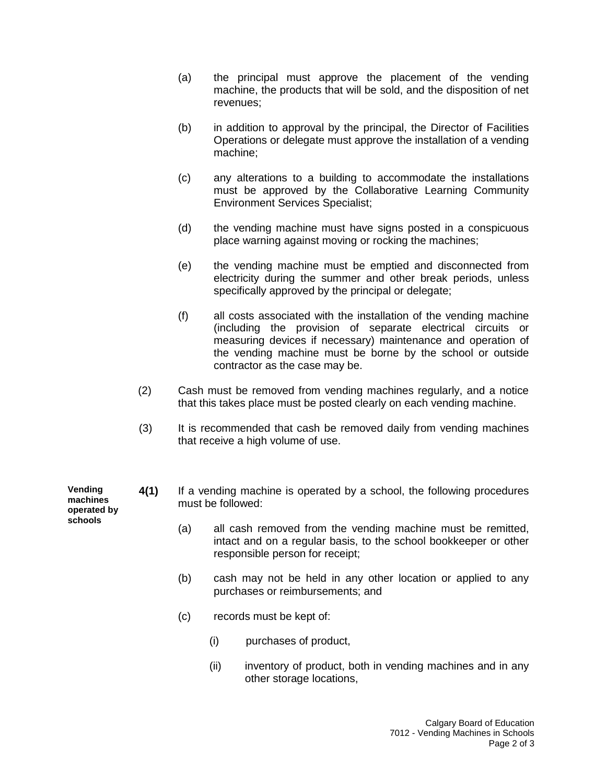- (a) the principal must approve the placement of the vending machine, the products that will be sold, and the disposition of net revenues;
- (b) in addition to approval by the principal, the Director of Facilities Operations or delegate must approve the installation of a vending machine;
- (c) any alterations to a building to accommodate the installations must be approved by the Collaborative Learning Community Environment Services Specialist;
- (d) the vending machine must have signs posted in a conspicuous place warning against moving or rocking the machines;
- (e) the vending machine must be emptied and disconnected from electricity during the summer and other break periods, unless specifically approved by the principal or delegate;
- (f) all costs associated with the installation of the vending machine (including the provision of separate electrical circuits or measuring devices if necessary) maintenance and operation of the vending machine must be borne by the school or outside contractor as the case may be.
- (2) Cash must be removed from vending machines regularly, and a notice that this takes place must be posted clearly on each vending machine.
- (3) It is recommended that cash be removed daily from vending machines that receive a high volume of use.

**Vending machines operated by schools**

- **4(1)** If a vending machine is operated by a school, the following procedures must be followed:
	- (a) all cash removed from the vending machine must be remitted, intact and on a regular basis, to the school bookkeeper or other responsible person for receipt;
	- (b) cash may not be held in any other location or applied to any purchases or reimbursements; and
	- (c) records must be kept of:
		- (i) purchases of product,
		- (ii) inventory of product, both in vending machines and in any other storage locations,